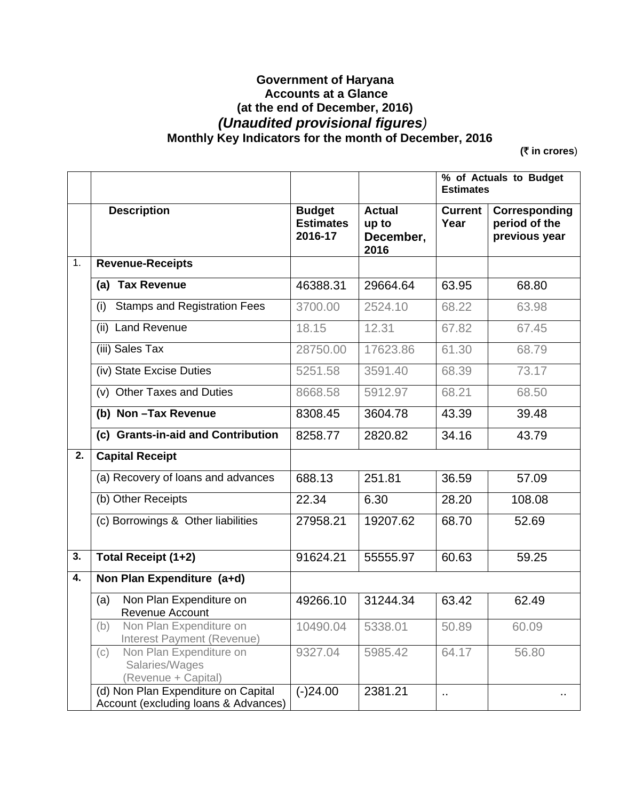## **Government of Haryana Accounts at a Glance (at the end of December, 2016)**   *(Unaudited provisional figures)*   **Monthly Key Indicators for the month of December, 2016**

**(**` **in crores**)

|                  |                                                                             |                                              |                                             | % of Actuals to Budget<br><b>Estimates</b> |                                                 |
|------------------|-----------------------------------------------------------------------------|----------------------------------------------|---------------------------------------------|--------------------------------------------|-------------------------------------------------|
|                  | <b>Description</b>                                                          | <b>Budget</b><br><b>Estimates</b><br>2016-17 | <b>Actual</b><br>up to<br>December,<br>2016 | <b>Current</b><br>Year                     | Corresponding<br>period of the<br>previous year |
| $\overline{1}$ . | <b>Revenue-Receipts</b>                                                     |                                              |                                             |                                            |                                                 |
|                  | (a) Tax Revenue                                                             | 46388.31                                     | 29664.64                                    | 63.95                                      | 68.80                                           |
|                  | <b>Stamps and Registration Fees</b><br>(i)                                  | 3700.00                                      | 2524.10                                     | 68.22                                      | 63.98                                           |
|                  | <b>Land Revenue</b><br>(ii)                                                 | 18.15                                        | 12.31                                       | 67.82                                      | 67.45                                           |
|                  | (iii) Sales Tax                                                             | 28750.00                                     | 17623.86                                    | 61.30                                      | 68.79                                           |
|                  | (iv) State Excise Duties                                                    | 5251.58                                      | 3591.40                                     | 68.39                                      | 73.17                                           |
|                  | (v) Other Taxes and Duties                                                  | 8668.58                                      | 5912.97                                     | 68.21                                      | 68.50                                           |
|                  | (b) Non-Tax Revenue                                                         | 8308.45                                      | 3604.78                                     | 43.39                                      | 39.48                                           |
|                  | (c) Grants-in-aid and Contribution                                          | 8258.77                                      | 2820.82                                     | 34.16                                      | 43.79                                           |
| 2.               | <b>Capital Receipt</b>                                                      |                                              |                                             |                                            |                                                 |
|                  | (a) Recovery of loans and advances                                          | 688.13                                       | 251.81                                      | 36.59                                      | 57.09                                           |
|                  | (b) Other Receipts                                                          | 22.34                                        | 6.30                                        | 28.20                                      | 108.08                                          |
|                  | (c) Borrowings & Other liabilities                                          | 27958.21                                     | 19207.62                                    | 68.70                                      | 52.69                                           |
| 3.               | Total Receipt (1+2)                                                         | 91624.21                                     | 55555.97                                    | 60.63                                      | 59.25                                           |
| 4.               | Non Plan Expenditure (a+d)                                                  |                                              |                                             |                                            |                                                 |
|                  | Non Plan Expenditure on<br>(a)<br>Revenue Account                           | 49266.10                                     | 31244.34                                    | 63.42                                      | 62.49                                           |
|                  | (b)<br>Non Plan Expenditure on<br>Interest Payment (Revenue)                | 10490.04 5338.01                             |                                             | 50.89                                      | 60.09                                           |
|                  | Non Plan Expenditure on<br>(c)<br>Salaries/Wages<br>(Revenue + Capital)     | 9327.04                                      | 5985.42                                     | 64.17                                      | 56.80                                           |
|                  | (d) Non Plan Expenditure on Capital<br>Account (excluding loans & Advances) | $(-)24.00$                                   | 2381.21                                     | .,                                         |                                                 |